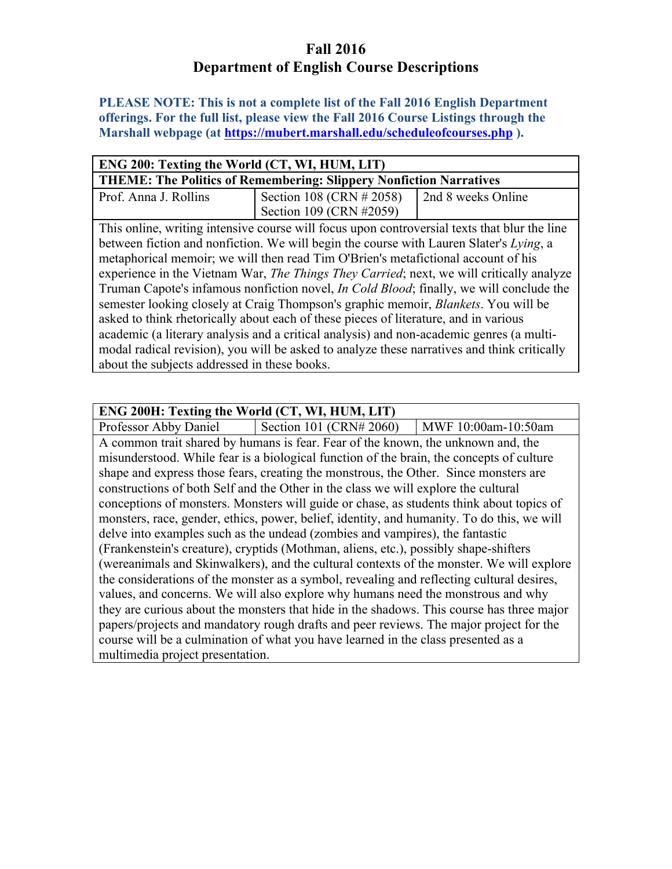# **Fall 2016 Department of English Course Descriptions**

**PLEASE NOTE: This is not a complete list of the Fall 2016 English Department offerings. For the full list, please view the Fall 2016 Course Listings through the Marshall webpage (at https://mubert.marshall.edu/scheduleofcourses.php ).**

| ENG 200: Texting the World (CT, WI, HUM, LIT)                                                    |                                                                                              |                    |
|--------------------------------------------------------------------------------------------------|----------------------------------------------------------------------------------------------|--------------------|
| <b>THEME: The Politics of Remembering: Slippery Nonfiction Narratives</b>                        |                                                                                              |                    |
| Prof. Anna J. Rollins                                                                            | Section 108 (CRN # 2058)                                                                     | 2nd 8 weeks Online |
|                                                                                                  | Section 109 (CRN #2059)                                                                      |                    |
|                                                                                                  | This online, writing intensive course will focus upon controversial texts that blur the line |                    |
|                                                                                                  | between fiction and nonfiction. We will begin the course with Lauren Slater's Lying, a       |                    |
|                                                                                                  |                                                                                              |                    |
| experience in the Vietnam War, <i>The Things They Carried</i> ; next, we will critically analyze |                                                                                              |                    |
| Truman Capote's infamous nonfiction novel, <i>In Cold Blood</i> ; finally, we will conclude the  |                                                                                              |                    |
| semester looking closely at Craig Thompson's graphic memoir, <i>Blankets</i> . You will be       |                                                                                              |                    |
| asked to think rhetorically about each of these pieces of literature, and in various             |                                                                                              |                    |
| academic (a literary analysis and a critical analysis) and non-academic genres (a multi-         |                                                                                              |                    |
|                                                                                                  | modal radical revision), you will be asked to analyze these narratives and think critically  |                    |
| about the subjects addressed in these books.                                                     |                                                                                              |                    |
|                                                                                                  | metaphorical memoir; we will then read Tim O'Brien's metafictional account of his            |                    |

### **ENG 200H: Texting the World (CT, WI, HUM, LIT)** Professor Abby Daniel Section 101 (CRN# 2060) | MWF 10:00am-10:50am A common trait shared by humans is fear. Fear of the known, the unknown and, the misunderstood. While fear is a biological function of the brain, the concepts of culture shape and express those fears, creating the monstrous, the Other. Since monsters are constructions of both Self and the Other in the class we will explore the cultural conceptions of monsters. Monsters will guide or chase, as students think about topics of monsters, race, gender, ethics, power, belief, identity, and humanity. To do this, we will delve into examples such as the undead (zombies and vampires), the fantastic (Frankenstein's creature), cryptids (Mothman, aliens, etc.), possibly shape-shifters (wereanimals and Skinwalkers), and the cultural contexts of the monster. We will explore the considerations of the monster as a symbol, revealing and reflecting cultural desires, values, and concerns. We will also explore why humans need the monstrous and why they are curious about the monsters that hide in the shadows. This course has three major papers/projects and mandatory rough drafts and peer reviews. The major project for the course will be a culmination of what you have learned in the class presented as a multimedia project presentation.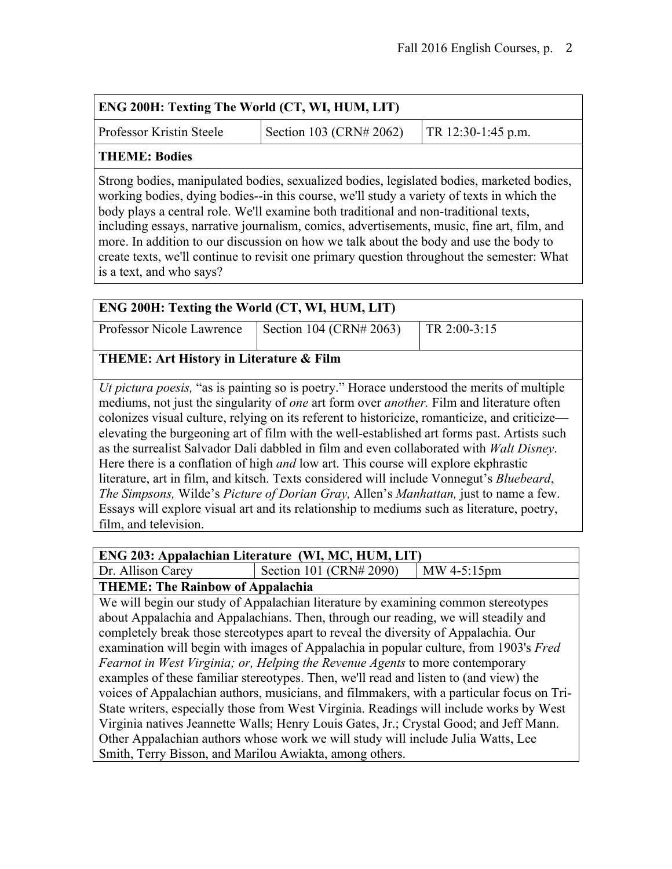| <b>ENG 200H: Texting The World (CT, WI, HUM, LIT)</b>                                                                                                                                  |  |  |  |
|----------------------------------------------------------------------------------------------------------------------------------------------------------------------------------------|--|--|--|
| Section 103 (CRN# 2062)<br><b>Professor Kristin Steele</b><br>$TR 12:30-1:45 p.m.$                                                                                                     |  |  |  |
| THEME: Bodies                                                                                                                                                                          |  |  |  |
| Strong bodies, manipulated bodies, sexualized bodies, legislated bodies, marketed bodies,<br>working bodies, dying bodies, in this course, we'll study a variety of texts in which the |  |  |  |

es--in this course, we'll study a variety of texts in which the body plays a central role. We'll examine both traditional and non-traditional texts, including essays, narrative journalism, comics, advertisements, music, fine art, film, and more. In addition to our discussion on how we talk about the body and use the body to create texts, we'll continue to revisit one primary question throughout the semester: What is a text, and who says?

| ENG 200H: Texting the World (CT, WI, HUM, LIT) |                                                                                                                                                                                                                                                                                                                                                                                                                                                                                                                                                                                                                                                                                                                                                                                                                                                                                                  |              |  |
|------------------------------------------------|--------------------------------------------------------------------------------------------------------------------------------------------------------------------------------------------------------------------------------------------------------------------------------------------------------------------------------------------------------------------------------------------------------------------------------------------------------------------------------------------------------------------------------------------------------------------------------------------------------------------------------------------------------------------------------------------------------------------------------------------------------------------------------------------------------------------------------------------------------------------------------------------------|--------------|--|
| Professor Nicole Lawrence                      | Section 104 (CRN# 2063)                                                                                                                                                                                                                                                                                                                                                                                                                                                                                                                                                                                                                                                                                                                                                                                                                                                                          | TR 2:00-3:15 |  |
|                                                | THEME: Art History in Literature & Film                                                                                                                                                                                                                                                                                                                                                                                                                                                                                                                                                                                                                                                                                                                                                                                                                                                          |              |  |
| film, and television.                          | <i>Ut pictura poesis,</i> "as is painting so is poetry." Horace understood the merits of multiple<br>mediums, not just the singularity of <i>one</i> art form over <i>another</i> . Film and literature often<br>colonizes visual culture, relying on its referent to historicize, romanticize, and criticize—<br>elevating the burgeoning art of film with the well-established art forms past. Artists such<br>as the surrealist Salvador Dali dabbled in film and even collaborated with Walt Disney.<br>Here there is a conflation of high <i>and</i> low art. This course will explore ekphrastic<br>literature, art in film, and kitsch. Texts considered will include Vonnegut's <i>Bluebeard</i> ,<br>The Simpsons, Wilde's Picture of Dorian Gray, Allen's Manhattan, just to name a few.<br>Essays will explore visual art and its relationship to mediums such as literature, poetry, |              |  |

|                                         | ENG 203: Appalachian Literature (WI, MC, HUM, LIT) |               |
|-----------------------------------------|----------------------------------------------------|---------------|
| Dr. Allison Carey                       | Section 101 (CRN# 2090)                            | $MW 4-5:15pm$ |
| <b>THEME: The Rainbow of Appalachia</b> |                                                    |               |

We will begin our study of Appalachian literature by examining common stereotypes about Appalachia and Appalachians. Then, through our reading, we will steadily and completely break those stereotypes apart to reveal the diversity of Appalachia. Our examination will begin with images of Appalachia in popular culture, from 1903's *Fred Fearnot in West Virginia; or, Helping the Revenue Agents* to more contemporary examples of these familiar stereotypes. Then, we'll read and listen to (and view) the voices of Appalachian authors, musicians, and filmmakers, with a particular focus on Tri-State writers, especially those from West Virginia. Readings will include works by West Virginia natives Jeannette Walls; Henry Louis Gates, Jr.; Crystal Good; and Jeff Mann. Other Appalachian authors whose work we will study will include Julia Watts, Lee Smith, Terry Bisson, and Marilou Awiakta, among others.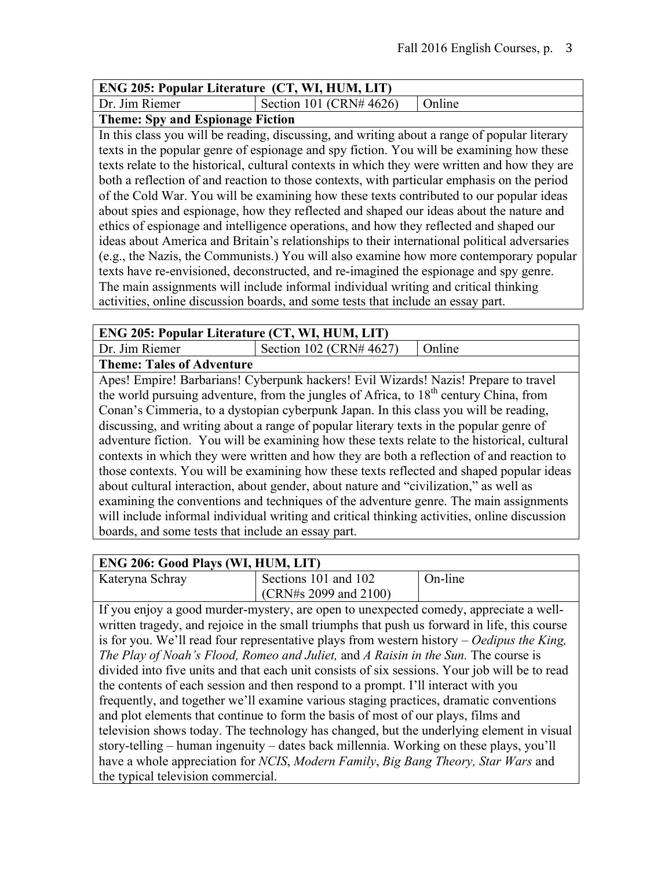### **ENG 205: Popular Literature (CT, WI, HUM, LIT)**

Dr. Jim Riemer Section 101 (CRN#  $4626$ ) Online

### **Theme: Spy and Espionage Fiction**

In this class you will be reading, discussing, and writing about a range of popular literary texts in the popular genre of espionage and spy fiction. You will be examining how these texts relate to the historical, cultural contexts in which they were written and how they are both a reflection of and reaction to those contexts, with particular emphasis on the period of the Cold War. You will be examining how these texts contributed to our popular ideas about spies and espionage, how they reflected and shaped our ideas about the nature and ethics of espionage and intelligence operations, and how they reflected and shaped our ideas about America and Britain's relationships to their international political adversaries (e.g., the Nazis, the Communists.) You will also examine how more contemporary popular texts have re-envisioned, deconstructed, and re-imagined the espionage and spy genre. The main assignments will include informal individual writing and critical thinking activities, online discussion boards, and some tests that include an essay part.

| <b>ENG 205: Popular Literature (CT, WI, HUM, LIT)</b> |                            |                  |
|-------------------------------------------------------|----------------------------|------------------|
| Dr. Jim Riemer                                        | Section 102 (CRN# $4627$ ) | $\cdot$ 1 Online |
| $\blacksquare$                                        |                            |                  |

**Theme: Tales of Adventure**

Apes! Empire! Barbarians! Cyberpunk hackers! Evil Wizards! Nazis! Prepare to travel the world pursuing adventure, from the jungles of Africa, to  $18<sup>th</sup>$  century China, from Conan's Cimmeria, to a dystopian cyberpunk Japan. In this class you will be reading, discussing, and writing about a range of popular literary texts in the popular genre of adventure fiction. You will be examining how these texts relate to the historical, cultural contexts in which they were written and how they are both a reflection of and reaction to those contexts. You will be examining how these texts reflected and shaped popular ideas about cultural interaction, about gender, about nature and "civilization," as well as examining the conventions and techniques of the adventure genre. The main assignments will include informal individual writing and critical thinking activities, online discussion boards, and some tests that include an essay part.

## **ENG 206: Good Plays (WI, HUM, LIT)**

| $1.10$ = $0.01$ Order 1 $1.10$ $1.11$ $1.10$ $1.11$ |                       |         |
|-----------------------------------------------------|-----------------------|---------|
| Kateryna Schray                                     | Sections 101 and 102  | On-line |
|                                                     | (CRN#s 2099 and 2100) |         |

If you enjoy a good murder-mystery, are open to unexpected comedy, appreciate a wellwritten tragedy, and rejoice in the small triumphs that push us forward in life, this course is for you. We'll read four representative plays from western history – *Oedipus the King, The Play of Noah's Flood, Romeo and Juliet,* and *A Raisin in the Sun.* The course is divided into five units and that each unit consists of six sessions. Your job will be to read the contents of each session and then respond to a prompt. I'll interact with you frequently, and together we'll examine various staging practices, dramatic conventions and plot elements that continue to form the basis of most of our plays, films and television shows today. The technology has changed, but the underlying element in visual story-telling – human ingenuity – dates back millennia. Working on these plays, you'll have a whole appreciation for *NCIS*, *Modern Family*, *Big Bang Theory, Star Wars* and the typical television commercial.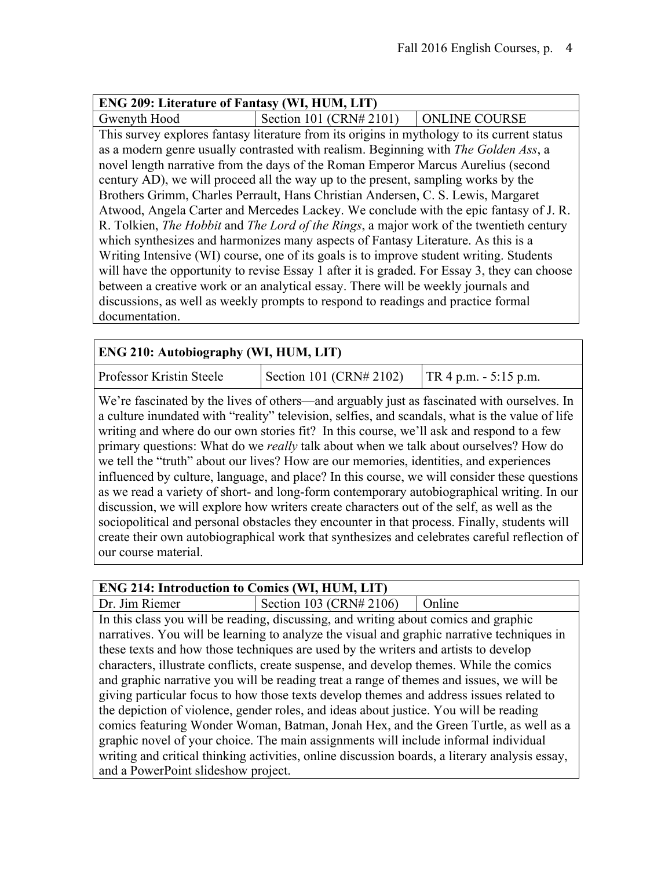### **ENG 209: Literature of Fantasy (WI, HUM, LIT)** Gwenyth Hood Section 101 (CRN# 2101) | ONLINE COURSE This survey explores fantasy literature from its origins in mythology to its current status as a modern genre usually contrasted with realism. Beginning with *The Golden Ass*, a novel length narrative from the days of the Roman Emperor Marcus Aurelius (second century AD), we will proceed all the way up to the present, sampling works by the Brothers Grimm, Charles Perrault, Hans Christian Andersen, C. S. Lewis, Margaret Atwood, Angela Carter and Mercedes Lackey. We conclude with the epic fantasy of J. R. R. Tolkien, *The Hobbit* and *The Lord of the Rings*, a major work of the twentieth century which synthesizes and harmonizes many aspects of Fantasy Literature. As this is a Writing Intensive (WI) course, one of its goals is to improve student writing. Students will have the opportunity to revise Essay 1 after it is graded. For Essay 3, they can choose between a creative work or an analytical essay. There will be weekly journals and discussions, as well as weekly prompts to respond to readings and practice formal documentation.

## **ENG 210: Autobiography (WI, HUM, LIT)**

Professor Kristin Steele Section 101 (CRN# 2102)  $TR 4 p.m. - 5:15 p.m.$ 

We're fascinated by the lives of others—and arguably just as fascinated with ourselves. In a culture inundated with "reality" television, selfies, and scandals, what is the value of life writing and where do our own stories fit? In this course, we'll ask and respond to a few primary questions: What do we *really* talk about when we talk about ourselves? How do we tell the "truth" about our lives? How are our memories, identities, and experiences influenced by culture, language, and place? In this course, we will consider these questions as we read a variety of short- and long-form contemporary autobiographical writing. In our discussion, we will explore how writers create characters out of the self, as well as the sociopolitical and personal obstacles they encounter in that process. Finally, students will create their own autobiographical work that synthesizes and celebrates careful reflection of our course material.

| <b>ENG 214: Introduction to Comics (WI, HUM, LIT)</b>                                          |                                                                                            |        |
|------------------------------------------------------------------------------------------------|--------------------------------------------------------------------------------------------|--------|
| Dr. Jim Riemer                                                                                 | Section 103 (CRN# 2106)                                                                    | Online |
|                                                                                                | In this class you will be reading, discussing, and writing about comics and graphic        |        |
|                                                                                                | narratives. You will be learning to analyze the visual and graphic narrative techniques in |        |
|                                                                                                | these texts and how those techniques are used by the writers and artists to develop        |        |
|                                                                                                | characters, illustrate conflicts, create suspense, and develop themes. While the comics    |        |
| and graphic narrative you will be reading treat a range of themes and issues, we will be       |                                                                                            |        |
| giving particular focus to how those texts develop themes and address issues related to        |                                                                                            |        |
| the depiction of violence, gender roles, and ideas about justice. You will be reading          |                                                                                            |        |
| comics featuring Wonder Woman, Batman, Jonah Hex, and the Green Turtle, as well as a           |                                                                                            |        |
| graphic novel of your choice. The main assignments will include informal individual            |                                                                                            |        |
| writing and critical thinking activities, online discussion boards, a literary analysis essay, |                                                                                            |        |
| and a PowerPoint slideshow project.                                                            |                                                                                            |        |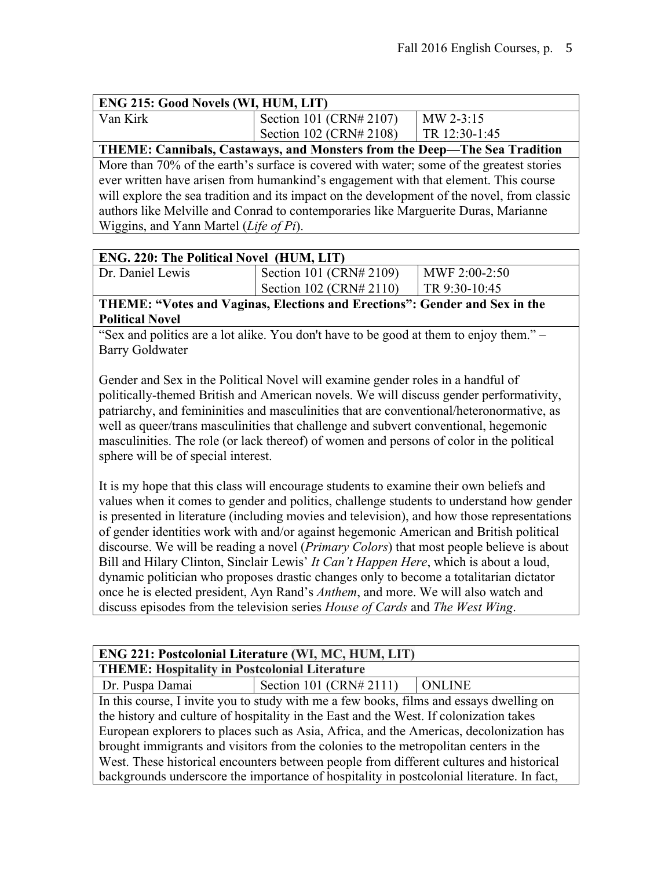| <b>ENG 215: Good Novels (WI, HUM, LIT)</b>                                                  |                                                                           |               |
|---------------------------------------------------------------------------------------------|---------------------------------------------------------------------------|---------------|
| Van Kirk                                                                                    | Section 101 (CRN# 2107)                                                   | $MW 2-3:15$   |
|                                                                                             | Section 102 (CRN# 2108)                                                   | TR 12:30-1:45 |
|                                                                                             | THEME: Cannibals, Castaways, and Monsters from the Deep-The Sea Tradition |               |
| More than 70% of the earth's surface is covered with water; some of the greatest stories    |                                                                           |               |
| ever written have arisen from humankind's engagement with that element. This course         |                                                                           |               |
| will explore the sea tradition and its impact on the development of the novel, from classic |                                                                           |               |
| authors like Melville and Conrad to contemporaries like Marguerite Duras, Marianne          |                                                                           |               |
| Wiggins, and Yann Martel (Life of Pi).                                                      |                                                                           |               |

#### **ENG. 220: The Political Novel (HUM, LIT)**

| Dr. Daniel Lewis | Section 101 (CRN# 2109) | $MWF 2:00-2:50$ |
|------------------|-------------------------|-----------------|
|                  | Section 102 (CRN# 2110) | $TR 9:30-10:45$ |
|                  |                         |                 |

**THEME: "Votes and Vaginas, Elections and Erections": Gender and Sex in the Political Novel**

"Sex and politics are a lot alike. You don't have to be good at them to enjoy them." – Barry Goldwater

Gender and Sex in the Political Novel will examine gender roles in a handful of politically-themed British and American novels. We will discuss gender performativity, patriarchy, and femininities and masculinities that are conventional/heteronormative, as well as queer/trans masculinities that challenge and subvert conventional, hegemonic masculinities. The role (or lack thereof) of women and persons of color in the political sphere will be of special interest.

It is my hope that this class will encourage students to examine their own beliefs and values when it comes to gender and politics, challenge students to understand how gender is presented in literature (including movies and television), and how those representations of gender identities work with and/or against hegemonic American and British political discourse. We will be reading a novel (*Primary Colors*) that most people believe is about Bill and Hilary Clinton, Sinclair Lewis' *It Can't Happen Here*, which is about a loud, dynamic politician who proposes drastic changes only to become a totalitarian dictator once he is elected president, Ayn Rand's *Anthem*, and more. We will also watch and discuss episodes from the television series *House of Cards* and *The West Wing*.

#### **ENG 221: Postcolonial Literature (WI, MC, HUM, LIT) THEME: Hospitality in Postcolonial Literature**

Dr. Puspa Damai Section 101 (CRN# 2111) ONLINE

In this course, I invite you to study with me a few books, films and essays dwelling on the history and culture of hospitality in the East and the West. If colonization takes European explorers to places such as Asia, Africa, and the Americas, decolonization has brought immigrants and visitors from the colonies to the metropolitan centers in the West. These historical encounters between people from different cultures and historical backgrounds underscore the importance of hospitality in postcolonial literature. In fact,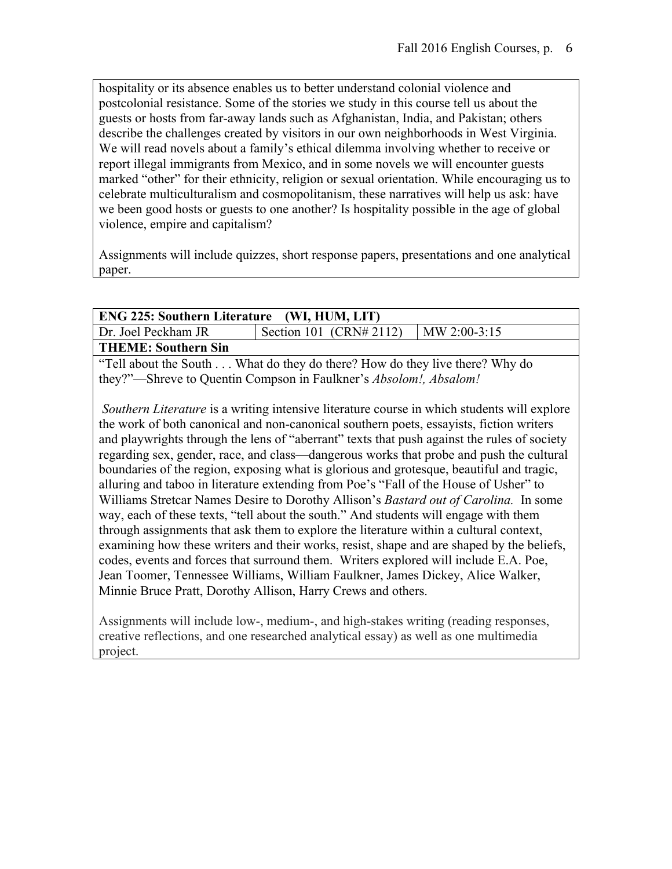hospitality or its absence enables us to better understand colonial violence and postcolonial resistance. Some of the stories we study in this course tell us about the guests or hosts from far-away lands such as Afghanistan, India, and Pakistan; others describe the challenges created by visitors in our own neighborhoods in West Virginia. We will read novels about a family's ethical dilemma involving whether to receive or report illegal immigrants from Mexico, and in some novels we will encounter guests marked "other" for their ethnicity, religion or sexual orientation. While encouraging us to celebrate multiculturalism and cosmopolitanism, these narratives will help us ask: have we been good hosts or guests to one another? Is hospitality possible in the age of global violence, empire and capitalism?

Assignments will include quizzes, short response papers, presentations and one analytical paper.

| <b>ENG 225: Southern Literature (WI, HUM, LIT)</b>                                      |                                                       |                |  |
|-----------------------------------------------------------------------------------------|-------------------------------------------------------|----------------|--|
| Dr. Joel Peckham JR                                                                     | Section 101 (CRN# 2112)                               | $MN$ 2:00-3:15 |  |
| <b>THEME: Southern Sin</b>                                                              |                                                       |                |  |
| $\text{G}_{\text{L}}$ $\text{G}_{\text{L}}$ $\text{G}_{\text{L}}$ $\text{G}_{\text{L}}$ | What do thou do though How do thou live though Why do |                |  |

"Tell about the South . . . What do they do there? How do they live there? Why do they?"—Shreve to Quentin Compson in Faulkner's *Absolom!, Absalom!*

*Southern Literature* is a writing intensive literature course in which students will explore the work of both canonical and non-canonical southern poets, essayists, fiction writers and playwrights through the lens of "aberrant" texts that push against the rules of society regarding sex, gender, race, and class—dangerous works that probe and push the cultural boundaries of the region, exposing what is glorious and grotesque, beautiful and tragic, alluring and taboo in literature extending from Poe's "Fall of the House of Usher" to Williams Stretcar Names Desire to Dorothy Allison's *Bastard out of Carolina.* In some way, each of these texts, "tell about the south." And students will engage with them through assignments that ask them to explore the literature within a cultural context, examining how these writers and their works, resist, shape and are shaped by the beliefs, codes, events and forces that surround them. Writers explored will include E.A. Poe, Jean Toomer, Tennessee Williams, William Faulkner, James Dickey, Alice Walker, Minnie Bruce Pratt, Dorothy Allison, Harry Crews and others.

Assignments will include low-, medium-, and high-stakes writing (reading responses, creative reflections, and one researched analytical essay) as well as one multimedia project.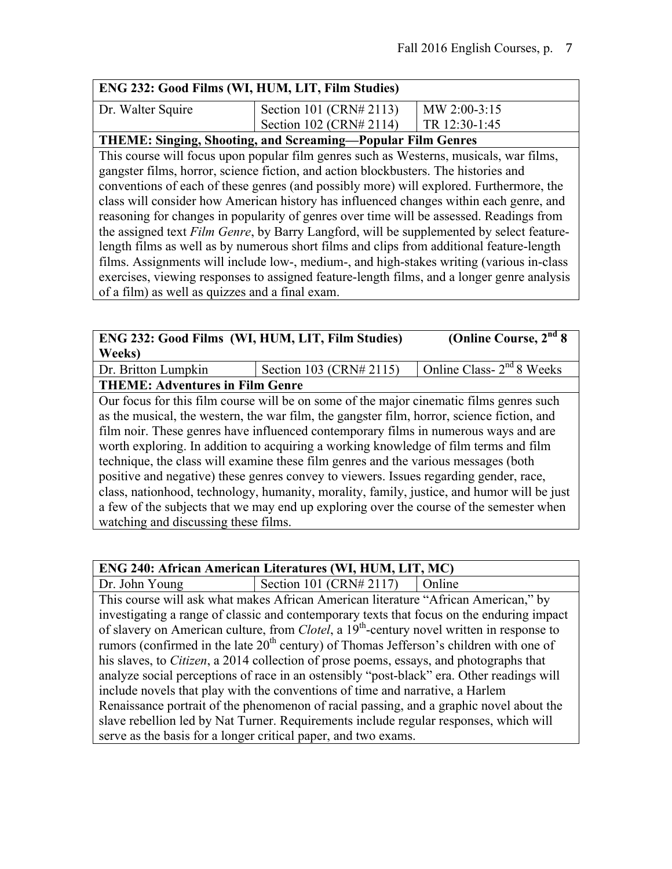| ENG 232: Good Films (WI, HUM, LIT, Film Studies)                                        |                         |               |
|-----------------------------------------------------------------------------------------|-------------------------|---------------|
| Dr. Walter Squire                                                                       | Section 101 (CRN# 2113) | MW 2:00-3:15  |
|                                                                                         | Section 102 (CRN# 2114) | TR 12:30-1:45 |
| <b>THEME: Singing, Shooting, and Screaming—Popular Film Genres</b>                      |                         |               |
| This course will focus upon popular film genres such as Westerns, musicals, war films,  |                         |               |
| gangster films, horror, science fiction, and action blockbusters. The histories and     |                         |               |
| conventions of each of these genres (and possibly more) will explored. Furthermore, the |                         |               |
| class will consider how American history has influenced changes within each genre, and  |                         |               |
| reasoning for changes in popularity of genres over time will be assessed. Readings from |                         |               |

reasoning for changes in popularity of genres over time will be assessed. Readings from the assigned text *Film Genre*, by Barry Langford, will be supplemented by select featurelength films as well as by numerous short films and clips from additional feature-length films. Assignments will include low-, medium-, and high-stakes writing (various in-class exercises, viewing responses to assigned feature-length films, and a longer genre analysis of a film) as well as quizzes and a final exam.

| <b>ENG 232: Good Films (WI, HUM, LIT, Film Studies)</b> |   | (Online Course, $2nd 8$ |
|---------------------------------------------------------|---|-------------------------|
| Weeks)                                                  |   |                         |
|                                                         | . | $-12 - - - -$           |

Dr. Britton Lumpkin | Section 103 (CRN# 2115) | Online Class-  $2<sup>nd</sup> 8$  Weeks **THEME: Adventures in Film Genre**

Our focus for this film course will be on some of the major cinematic films genres such as the musical, the western, the war film, the gangster film, horror, science fiction, and film noir. These genres have influenced contemporary films in numerous ways and are worth exploring. In addition to acquiring a working knowledge of film terms and film technique, the class will examine these film genres and the various messages (both positive and negative) these genres convey to viewers. Issues regarding gender, race, class, nationhood, technology, humanity, morality, family, justice, and humor will be just a few of the subjects that we may end up exploring over the course of the semester when watching and discussing these films.

| ENG 240: African American Literatures (WI, HUM, LIT, MC) |  |  |  |  |
|----------------------------------------------------------|--|--|--|--|
|----------------------------------------------------------|--|--|--|--|

Dr. John Young Section 101 (CRN# 2117)  $\Box$  Online

This course will ask what makes African American literature "African American," by investigating a range of classic and contemporary texts that focus on the enduring impact of slavery on American culture, from *Clotel*, a 19th-century novel written in response to rumors (confirmed in the late  $20<sup>th</sup>$  century) of Thomas Jefferson's children with one of his slaves, to *Citizen*, a 2014 collection of prose poems, essays, and photographs that analyze social perceptions of race in an ostensibly "post-black" era. Other readings will include novels that play with the conventions of time and narrative, a Harlem Renaissance portrait of the phenomenon of racial passing, and a graphic novel about the slave rebellion led by Nat Turner. Requirements include regular responses, which will serve as the basis for a longer critical paper, and two exams.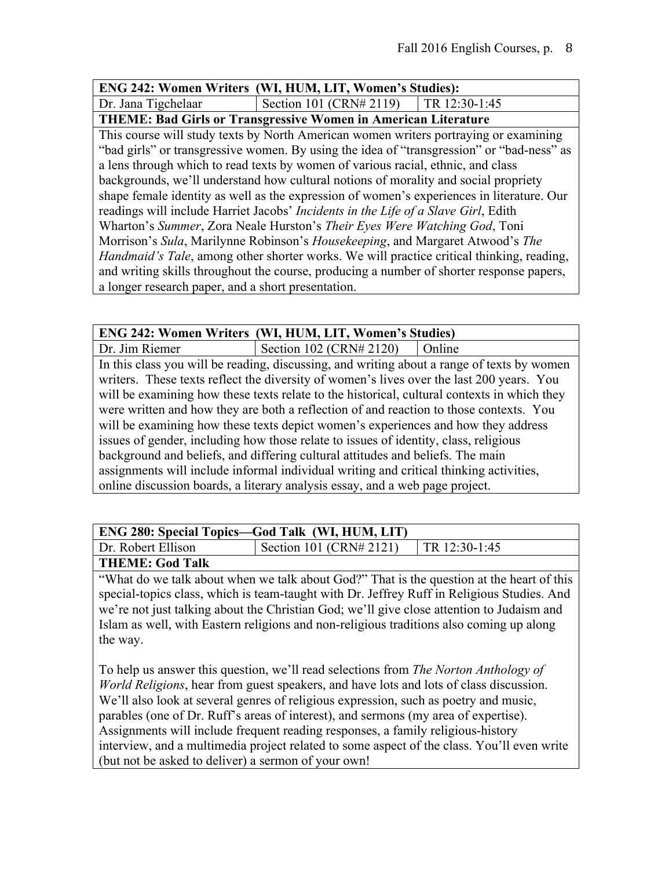#### **ENG 242: Women Writers (WI, HUM, LIT, Women's Studies):**

Dr. Jana Tigchelaar Section 101 (CRN# 2119) TR 12:30-1:45

#### **THEME: Bad Girls or Transgressive Women in American Literature**

This course will study texts by North American women writers portraying or examining "bad girls" or transgressive women. By using the idea of "transgression" or "bad-ness" as a lens through which to read texts by women of various racial, ethnic, and class backgrounds, we'll understand how cultural notions of morality and social propriety shape female identity as well as the expression of women's experiences in literature. Our readings will include Harriet Jacobs' *Incidents in the Life of a Slave Girl*, Edith Wharton's *Summer*, Zora Neale Hurston's *Their Eyes Were Watching God*, Toni Morrison's *Sula*, Marilynne Robinson's *Housekeeping*, and Margaret Atwood's *The Handmaid's Tale*, among other shorter works. We will practice critical thinking, reading, and writing skills throughout the course, producing a number of shorter response papers, a longer research paper, and a short presentation.

#### **ENG 242: Women Writers (WI, HUM, LIT, Women's Studies)**

Dr. Jim Riemer  $\vert$  Section 102 (CRN# 2120)  $\vert$  Online In this class you will be reading, discussing, and writing about a range of texts by women writers. These texts reflect the diversity of women's lives over the last 200 years. You will be examining how these texts relate to the historical, cultural contexts in which they were written and how they are both a reflection of and reaction to those contexts. You will be examining how these texts depict women's experiences and how they address issues of gender, including how those relate to issues of identity, class, religious background and beliefs, and differing cultural attitudes and beliefs. The main assignments will include informal individual writing and critical thinking activities, online discussion boards, a literary analysis essay, and a web page project.

### **ENG 280: Special Topics—God Talk (WI, HUM, LIT)**

Dr. Robert Ellison | Section 101 (CRN# 2121) | TR 12:30-1:45 **THEME: God Talk**

"What do we talk about when we talk about God?" That is the question at the heart of this special-topics class, which is team-taught with Dr. Jeffrey Ruff in Religious Studies. And we're not just talking about the Christian God; we'll give close attention to Judaism and Islam as well, with Eastern religions and non-religious traditions also coming up along the way.

To help us answer this question, we'll read selections from *The Norton Anthology of World Religions*, hear from guest speakers, and have lots and lots of class discussion. We'll also look at several genres of religious expression, such as poetry and music, parables (one of Dr. Ruff's areas of interest), and sermons (my area of expertise). Assignments will include frequent reading responses, a family religious-history interview, and a multimedia project related to some aspect of the class. You'll even write (but not be asked to deliver) a sermon of your own!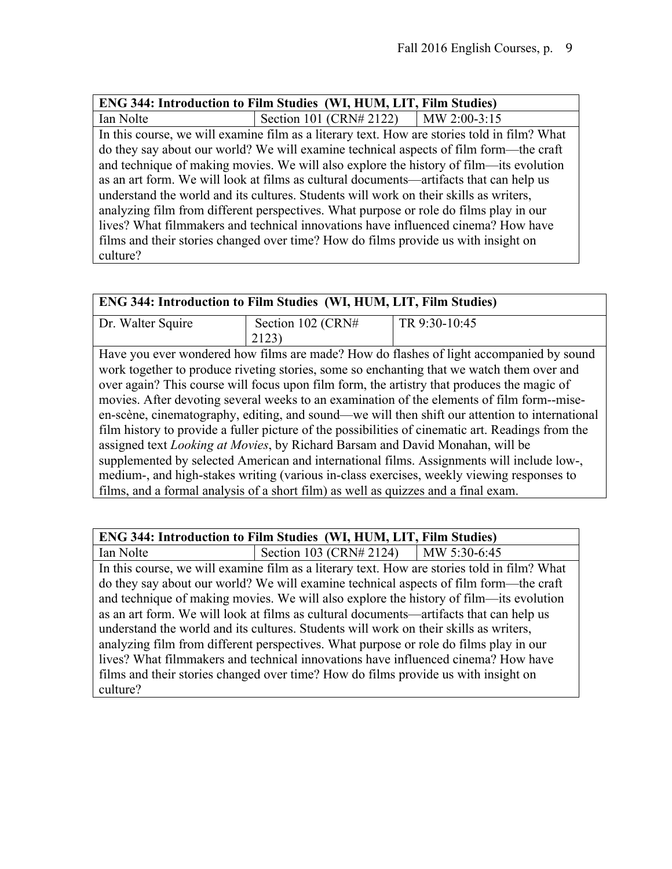|                                                                                       | <b>ENG 344: Introduction to Film Studies (WI, HUM, LIT, Film Studies)</b>                   |  |
|---------------------------------------------------------------------------------------|---------------------------------------------------------------------------------------------|--|
| Ian Nolte                                                                             | Section 101 (CRN# 2122)   MW 2:00-3:15                                                      |  |
|                                                                                       | In this course, we will examine film as a literary text. How are stories told in film? What |  |
|                                                                                       | do they say about our world? We will examine technical aspects of film form—the craft       |  |
|                                                                                       | and technique of making movies. We will also explore the history of film-its evolution      |  |
|                                                                                       | as an art form. We will look at films as cultural documents—artifacts that can help us      |  |
| understand the world and its cultures. Students will work on their skills as writers, |                                                                                             |  |
| analyzing film from different perspectives. What purpose or role do films play in our |                                                                                             |  |
| lives? What filmmakers and technical innovations have influenced cinema? How have     |                                                                                             |  |
| films and their stories changed over time? How do films provide us with insight on    |                                                                                             |  |
| culture?                                                                              |                                                                                             |  |

| <b>ENG 344: Introduction to Film Studies (WI, HUM, LIT, Film Studies)</b>                         |                   |                                                                                            |
|---------------------------------------------------------------------------------------------------|-------------------|--------------------------------------------------------------------------------------------|
| Dr. Walter Squire                                                                                 | Section 102 (CRN# | TR 9:30-10:45                                                                              |
|                                                                                                   | 2123)             |                                                                                            |
|                                                                                                   |                   | Have you ever wondered how films are made? How do flashes of light accompanied by sound    |
|                                                                                                   |                   | work together to produce riveting stories, some so enchanting that we watch them over and  |
|                                                                                                   |                   | over again? This course will focus upon film form, the artistry that produces the magic of |
| movies. After devoting several weeks to an examination of the elements of film form--mise-        |                   |                                                                                            |
| en-scène, cinematography, editing, and sound—we will then shift our attention to international    |                   |                                                                                            |
| film history to provide a fuller picture of the possibilities of cinematic art. Readings from the |                   |                                                                                            |
| assigned text Looking at Movies, by Richard Barsam and David Monahan, will be                     |                   |                                                                                            |
| supplemented by selected American and international films. Assignments will include low-,         |                   |                                                                                            |
| medium-, and high-stakes writing (various in-class exercises, weekly viewing responses to         |                   |                                                                                            |
| films, and a formal analysis of a short film) as well as quizzes and a final exam.                |                   |                                                                                            |

Ian Nolte Section 103 (CRN# 2124) MW 5:30-6:45 In this course, we will examine film as a literary text. How are stories told in film? What do they say about our world? We will examine technical aspects of film form—the craft and technique of making movies. We will also explore the history of film—its evolution as an art form. We will look at films as cultural documents—artifacts that can help us understand the world and its cultures. Students will work on their skills as writers, analyzing film from different perspectives. What purpose or role do films play in our lives? What filmmakers and technical innovations have influenced cinema? How have films and their stories changed over time? How do films provide us with insight on culture?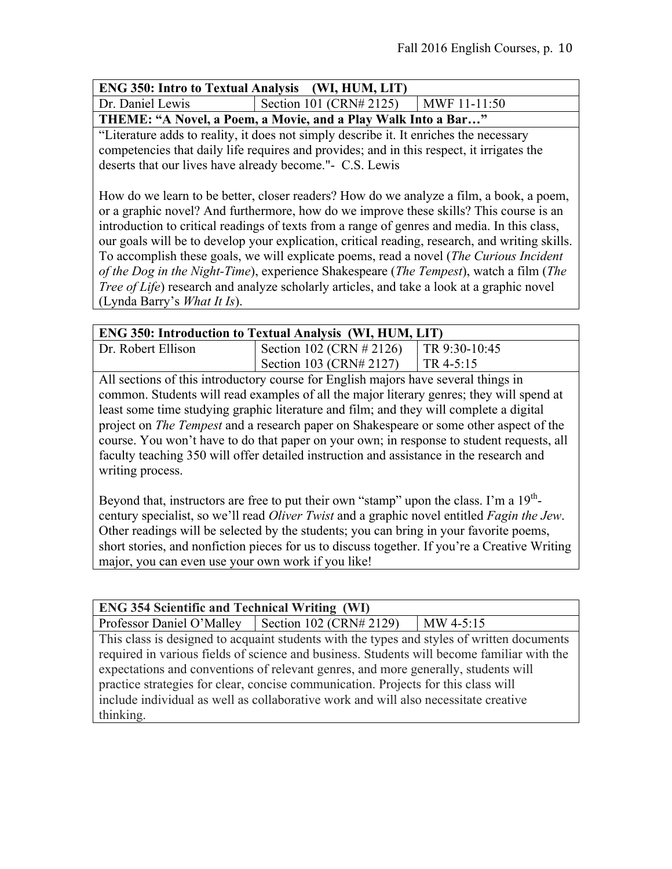| <b>ENG 350: Intro to Textual Analysis (WI, HUM, LIT)</b> |                         |                      |
|----------------------------------------------------------|-------------------------|----------------------|
| Dr. Daniel Lewis                                         | Section 101 (CRN# 2125) | $\vert$ MWF 11-11:50 |

**THEME: "A Novel, a Poem, a Movie, and a Play Walk Into a Bar…"**

"Literature adds to reality, it does not simply describe it. It enriches the necessary competencies that daily life requires and provides; and in this respect, it irrigates the deserts that our lives have already become."- C.S. Lewis

How do we learn to be better, closer readers? How do we analyze a film, a book, a poem, or a graphic novel? And furthermore, how do we improve these skills? This course is an introduction to critical readings of texts from a range of genres and media. In this class, our goals will be to develop your explication, critical reading, research, and writing skills. To accomplish these goals, we will explicate poems, read a novel (*The Curious Incident of the Dog in the Night-Time*), experience Shakespeare (*The Tempest*), watch a film (*The Tree of Life*) research and analyze scholarly articles, and take a look at a graphic novel (Lynda Barry's *What It Is*).

| <b>ENG 350: Introduction to Textual Analysis (WI, HUM, LIT)</b>                    |                                          |  |
|------------------------------------------------------------------------------------|------------------------------------------|--|
| Dr. Robert Ellison                                                                 | Section 102 (CRN # 2126)   TR 9:30-10:45 |  |
|                                                                                    | Section 103 (CRN# 2127)   TR 4-5:15      |  |
| All sections of this introductory course for English moiors hove several things in |                                          |  |

All sections of this introductory course for English majors have several things in common. Students will read examples of all the major literary genres; they will spend at least some time studying graphic literature and film; and they will complete a digital project on *The Tempest* and a research paper on Shakespeare or some other aspect of the course. You won't have to do that paper on your own; in response to student requests, all faculty teaching 350 will offer detailed instruction and assistance in the research and writing process.

Beyond that, instructors are free to put their own "stamp" upon the class. I'm a  $19<sup>th</sup>$ century specialist, so we'll read *Oliver Twist* and a graphic novel entitled *Fagin the Jew*. Other readings will be selected by the students; you can bring in your favorite poems, short stories, and nonfiction pieces for us to discuss together. If you're a Creative Writing major, you can even use your own work if you like!

| <b>ENG 354 Scientific and Technical Writing (WI)</b>                                       |  |             |
|--------------------------------------------------------------------------------------------|--|-------------|
| Professor Daniel O'Malley   Section 102 (CRN# 2129)                                        |  | $MW$ 4-5:15 |
| This class is designed to acquaint students with the types and styles of written documents |  |             |
| required in various fields of science and business. Students will become familiar with the |  |             |
| expectations and conventions of relevant genres, and more generally, students will         |  |             |
| practice strategies for clear, concise communication. Projects for this class will         |  |             |
| include individual as well as collaborative work and will also necessitate creative        |  |             |
| thinking.                                                                                  |  |             |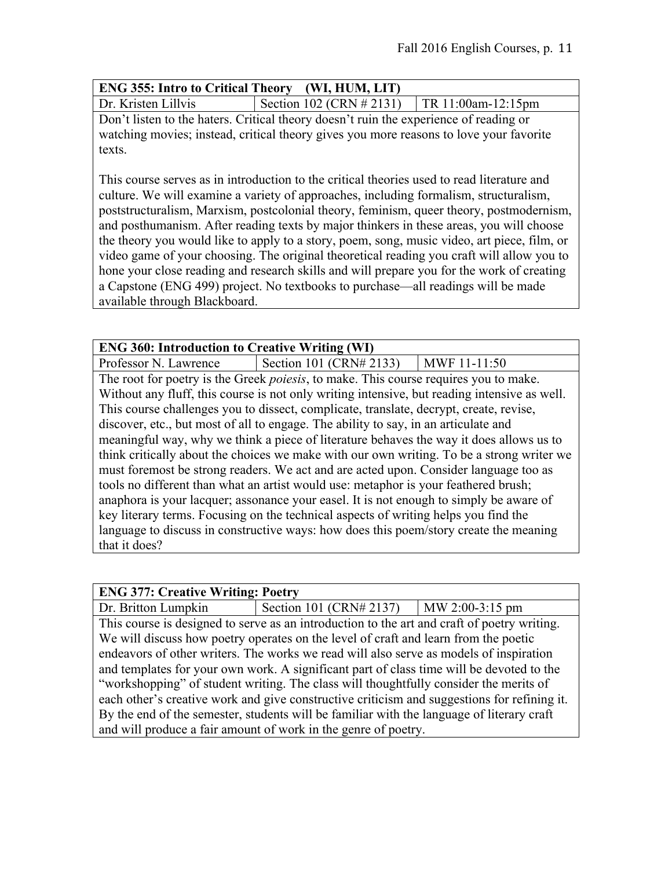| <b>ENG 355: Intro to Critical Theory</b> (WI, HUM, LIT) |  |
|---------------------------------------------------------|--|
|                                                         |  |

Dr. Kristen Lillvis Section 102 (CRN  $\#$  2131) TR 11:00am-12:15pm Don't listen to the haters. Critical theory doesn't ruin the experience of reading or watching movies; instead, critical theory gives you more reasons to love your favorite texts.

This course serves as in introduction to the critical theories used to read literature and culture. We will examine a variety of approaches, including formalism, structuralism, poststructuralism, Marxism, postcolonial theory, feminism, queer theory, postmodernism, and posthumanism. After reading texts by major thinkers in these areas, you will choose the theory you would like to apply to a story, poem, song, music video, art piece, film, or video game of your choosing. The original theoretical reading you craft will allow you to hone your close reading and research skills and will prepare you for the work of creating a Capstone (ENG 499) project. No textbooks to purchase—all readings will be made available through Blackboard.

| <b>ENG 360: Introduction to Creative Writing (WI)</b>                                     |                                                                                              |              |
|-------------------------------------------------------------------------------------------|----------------------------------------------------------------------------------------------|--------------|
| Professor N. Lawrence                                                                     | Section 101 $(CRN# 2133)$                                                                    | MWF 11-11:50 |
|                                                                                           | The root for poetry is the Greek <i>poiesis</i> , to make. This course requires you to make. |              |
|                                                                                           | Without any fluff, this course is not only writing intensive, but reading intensive as well. |              |
|                                                                                           | This course challenges you to dissect, complicate, translate, decrypt, create, revise,       |              |
|                                                                                           | discover, etc., but most of all to engage. The ability to say, in an articulate and          |              |
|                                                                                           | meaningful way, why we think a piece of literature behaves the way it does allows us to      |              |
| think critically about the choices we make with our own writing. To be a strong writer we |                                                                                              |              |
| must foremost be strong readers. We act and are acted upon. Consider language too as      |                                                                                              |              |
| tools no different than what an artist would use: metaphor is your feathered brush;       |                                                                                              |              |
| anaphora is your lacquer; assonance your easel. It is not enough to simply be aware of    |                                                                                              |              |
| key literary terms. Focusing on the technical aspects of writing helps you find the       |                                                                                              |              |
|                                                                                           | language to discuss in constructive ways: how does this poem/story create the meaning        |              |
| that it does?                                                                             |                                                                                              |              |

### **ENG 377: Creative Writing: Poetry**

Dr. Britton Lumpkin Section 101 (CRN# 2137) | MW 2:00-3:15 pm This course is designed to serve as an introduction to the art and craft of poetry writing. We will discuss how poetry operates on the level of craft and learn from the poetic endeavors of other writers. The works we read will also serve as models of inspiration and templates for your own work. A significant part of class time will be devoted to the "workshopping" of student writing. The class will thoughtfully consider the merits of each other's creative work and give constructive criticism and suggestions for refining it. By the end of the semester, students will be familiar with the language of literary craft and will produce a fair amount of work in the genre of poetry.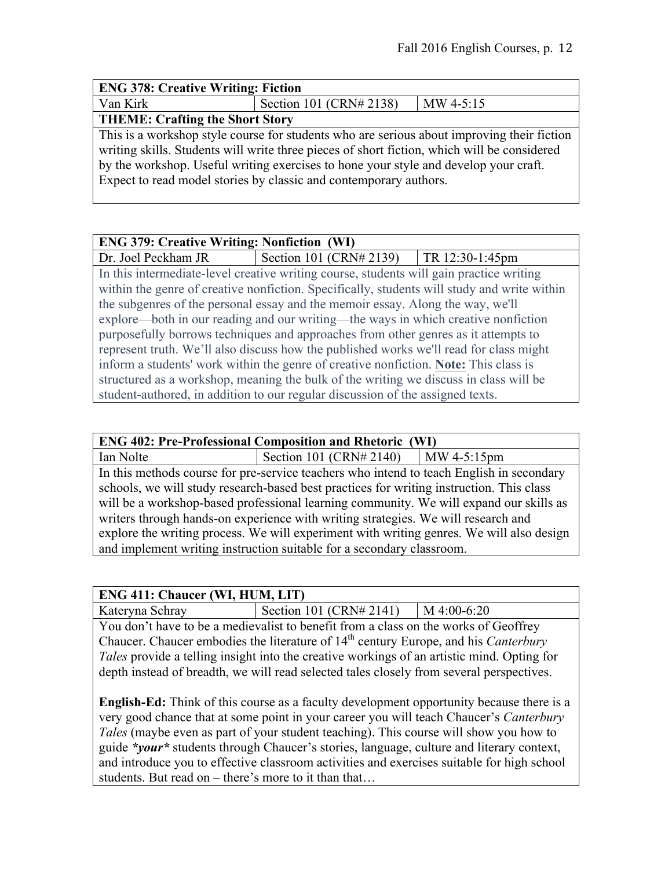| <b>ENG 378: Creative Writing: Fiction</b> |                                                                                                                                                                                                                                                                                                                                                        |             |
|-------------------------------------------|--------------------------------------------------------------------------------------------------------------------------------------------------------------------------------------------------------------------------------------------------------------------------------------------------------------------------------------------------------|-------------|
| Van Kirk                                  | Section 101 (CRN# 2138)                                                                                                                                                                                                                                                                                                                                | $MW$ 4-5:15 |
| <b>THEME: Crafting the Short Story</b>    |                                                                                                                                                                                                                                                                                                                                                        |             |
|                                           | This is a workshop style course for students who are serious about improving their fiction<br>writing skills. Students will write three pieces of short fiction, which will be considered<br>by the workshop. Useful writing exercises to hone your style and develop your craft.<br>Expect to read model stories by classic and contemporary authors. |             |

| <b>ENG 379: Creative Writing: Nonfiction (WI)</b>                                      |                                                                                             |                 |
|----------------------------------------------------------------------------------------|---------------------------------------------------------------------------------------------|-----------------|
| Dr. Joel Peckham JR                                                                    | Section 101 (CRN# 2139)                                                                     | TR 12:30-1:45pm |
|                                                                                        | In this intermediate-level creative writing course, students will gain practice writing     |                 |
|                                                                                        | within the genre of creative nonfiction. Specifically, students will study and write within |                 |
|                                                                                        | the subgenres of the personal essay and the memoir essay. Along the way, we'll              |                 |
| explore—both in our reading and our writing—the ways in which creative nonfiction      |                                                                                             |                 |
| purposefully borrows techniques and approaches from other genres as it attempts to     |                                                                                             |                 |
| represent truth. We'll also discuss how the published works we'll read for class might |                                                                                             |                 |
| inform a students' work within the genre of creative nonfiction. Note: This class is   |                                                                                             |                 |
| structured as a workshop, meaning the bulk of the writing we discuss in class will be  |                                                                                             |                 |
|                                                                                        | student-authored, in addition to our regular discussion of the assigned texts.              |                 |

| <b>ENG 402: Pre-Professional Composition and Rhetoric (WI)</b>                           |                                                                                          |               |  |
|------------------------------------------------------------------------------------------|------------------------------------------------------------------------------------------|---------------|--|
| Ian Nolte                                                                                | Section 101 $(CRN# 2140)$                                                                | $MW 4-5:15pm$ |  |
|                                                                                          | In this methods course for pre-service teachers who intend to teach English in secondary |               |  |
| schools, we will study research-based best practices for writing instruction. This class |                                                                                          |               |  |
| will be a workshop-based professional learning community. We will expand our skills as   |                                                                                          |               |  |
| writers through hands-on experience with writing strategies. We will research and        |                                                                                          |               |  |
| explore the writing process. We will experiment with writing genres. We will also design |                                                                                          |               |  |
| and implement writing instruction suitable for a secondary classroom.                    |                                                                                          |               |  |

### **ENG 411: Chaucer (WI, HUM, LIT)**

Kateryna Schray Section 101 (CRN# 2141) M 4:00-6:20

You don't have to be a medievalist to benefit from a class on the works of Geoffrey Chaucer. Chaucer embodies the literature of 14<sup>th</sup> century Europe, and his *Canterbury Tales* provide a telling insight into the creative workings of an artistic mind. Opting for depth instead of breadth, we will read selected tales closely from several perspectives.

**English-Ed:** Think of this course as a faculty development opportunity because there is a very good chance that at some point in your career you will teach Chaucer's *Canterbury Tales* (maybe even as part of your student teaching). This course will show you how to guide *\*your\** students through Chaucer's stories, language, culture and literary context, and introduce you to effective classroom activities and exercises suitable for high school students. But read on – there's more to it than that…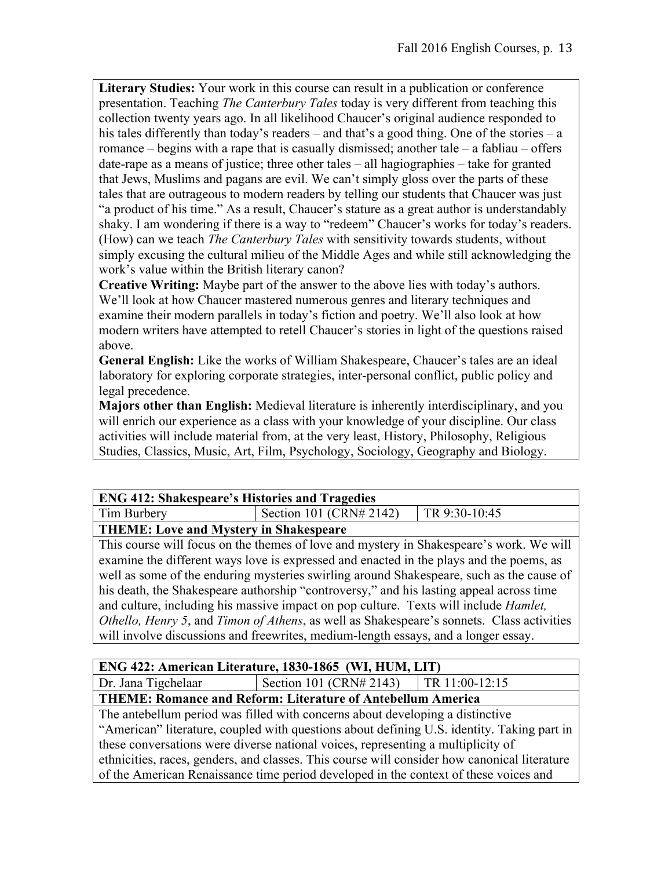**Literary Studies:** Your work in this course can result in a publication or conference presentation. Teaching *The Canterbury Tales* today is very different from teaching this collection twenty years ago. In all likelihood Chaucer's original audience responded to his tales differently than today's readers – and that's a good thing. One of the stories – a romance – begins with a rape that is casually dismissed; another tale – a fabliau – offers date-rape as a means of justice; three other tales – all hagiographies – take for granted that Jews, Muslims and pagans are evil. We can't simply gloss over the parts of these tales that are outrageous to modern readers by telling our students that Chaucer was just "a product of his time." As a result, Chaucer's stature as a great author is understandably shaky. I am wondering if there is a way to "redeem" Chaucer's works for today's readers. (How) can we teach *The Canterbury Tales* with sensitivity towards students, without simply excusing the cultural milieu of the Middle Ages and while still acknowledging the work's value within the British literary canon?

**Creative Writing:** Maybe part of the answer to the above lies with today's authors. We'll look at how Chaucer mastered numerous genres and literary techniques and examine their modern parallels in today's fiction and poetry. We'll also look at how modern writers have attempted to retell Chaucer's stories in light of the questions raised above.

**General English:** Like the works of William Shakespeare, Chaucer's tales are an ideal laboratory for exploring corporate strategies, inter-personal conflict, public policy and legal precedence.

**Majors other than English:** Medieval literature is inherently interdisciplinary, and you will enrich our experience as a class with your knowledge of your discipline. Our class activities will include material from, at the very least, History, Philosophy, Religious Studies, Classics, Music, Art, Film, Psychology, Sociology, Geography and Biology.

### **ENG 412: Shakespeare's Histories and Tragedies**

Tim Burbery Section 101 (CRN# 2142) TR 9:30-10:45

## **THEME: Love and Mystery in Shakespeare**

This course will focus on the themes of love and mystery in Shakespeare's work. We will examine the different ways love is expressed and enacted in the plays and the poems, as well as some of the enduring mysteries swirling around Shakespeare, such as the cause of his death, the Shakespeare authorship "controversy," and his lasting appeal across time and culture, including his massive impact on pop culture. Texts will include *Hamlet, Othello, Henry 5*, and *Timon of Athens*, as well as Shakespeare's sonnets. Class activities will involve discussions and freewrites, medium-length essays, and a longer essay.

## **ENG 422: American Literature, 1830-1865 (WI, HUM, LIT)**

Dr. Jana Tigchelaar | Section 101 (CRN# 2143) | TR 11:00-12:15

### **THEME: Romance and Reform: Literature of Antebellum America**

The antebellum period was filled with concerns about developing a distinctive "American" literature, coupled with questions about defining U.S. identity. Taking part in these conversations were diverse national voices, representing a multiplicity of ethnicities, races, genders, and classes. This course will consider how canonical literature of the American Renaissance time period developed in the context of these voices and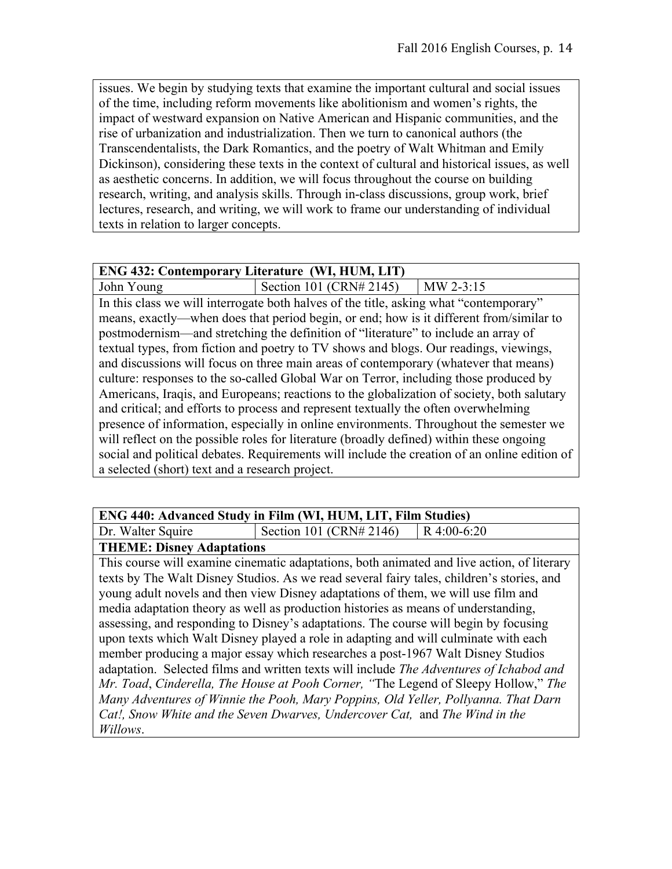issues. We begin by studying texts that examine the important cultural and social issues of the time, including reform movements like abolitionism and women's rights, the impact of westward expansion on Native American and Hispanic communities, and the rise of urbanization and industrialization. Then we turn to canonical authors (the Transcendentalists, the Dark Romantics, and the poetry of Walt Whitman and Emily Dickinson), considering these texts in the context of cultural and historical issues, as well as aesthetic concerns. In addition, we will focus throughout the course on building research, writing, and analysis skills. Through in-class discussions, group work, brief lectures, research, and writing, we will work to frame our understanding of individual texts in relation to larger concepts.

#### **ENG 432: Contemporary Literature (WI, HUM, LIT)**

John Young Section 101 (CRN# 2145) | MW 2-3:15 In this class we will interrogate both halves of the title, asking what "contemporary" means, exactly—when does that period begin, or end; how is it different from/similar to postmodernism—and stretching the definition of "literature" to include an array of textual types, from fiction and poetry to TV shows and blogs. Our readings, viewings, and discussions will focus on three main areas of contemporary (whatever that means) culture: responses to the so-called Global War on Terror, including those produced by Americans, Iraqis, and Europeans; reactions to the globalization of society, both salutary and critical; and efforts to process and represent textually the often overwhelming presence of information, especially in online environments. Throughout the semester we will reflect on the possible roles for literature (broadly defined) within these ongoing social and political debates. Requirements will include the creation of an online edition of a selected (short) text and a research project.

#### **ENG 440: Advanced Study in Film (WI, HUM, LIT, Film Studies)**

Dr. Walter Squire  $\vert$  Section 101 (CRN# 2146) R 4:00-6:20

### **THEME: Disney Adaptations**

This course will examine cinematic adaptations, both animated and live action, of literary texts by The Walt Disney Studios. As we read several fairy tales, children's stories, and young adult novels and then view Disney adaptations of them, we will use film and media adaptation theory as well as production histories as means of understanding, assessing, and responding to Disney's adaptations. The course will begin by focusing upon texts which Walt Disney played a role in adapting and will culminate with each member producing a major essay which researches a post-1967 Walt Disney Studios adaptation. Selected films and written texts will include *The Adventures of Ichabod and Mr. Toad*, *Cinderella, The House at Pooh Corner, "*The Legend of Sleepy Hollow," *The Many Adventures of Winnie the Pooh, Mary Poppins, Old Yeller, Pollyanna. That Darn Cat!, Snow White and the Seven Dwarves, Undercover Cat,* and *The Wind in the Willows*.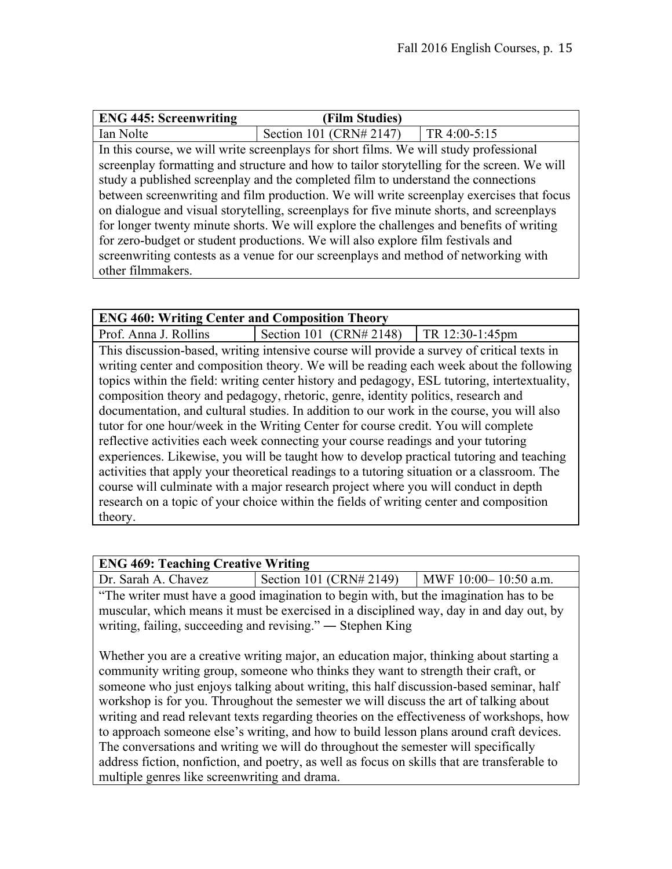| <b>ENG 445: Screenwriting</b> | (Film Studies)                                                                              |              |
|-------------------------------|---------------------------------------------------------------------------------------------|--------------|
| Ian Nolte                     | Section 101 (CRN# 2147)                                                                     | TR 4:00-5:15 |
|                               | In this course, we will write screen plays for short films. We will study professional      |              |
|                               | screen play formatting and structure and how to tailor storytelling for the screen. We will |              |
|                               | study a published screenplay and the completed film to understand the connections           |              |
|                               | between screenwriting and film production. We will write screenplay exercises that focus    |              |
|                               | on dialogue and visual storytelling, screenplays for five minute shorts, and screenplays    |              |
|                               | for longer twenty minute shorts. We will explore the challenges and benefits of writing     |              |
|                               | for zero-budget or student productions. We will also explore film festivals and             |              |
|                               | screenwriting contests as a venue for our screenplays and method of networking with         |              |
| other filmmakers.             |                                                                                             |              |

| <b>ENG 460: Writing Center and Composition Theory</b>                                        |  |                           |                                                                                         |
|----------------------------------------------------------------------------------------------|--|---------------------------|-----------------------------------------------------------------------------------------|
| Prof. Anna J. Rollins                                                                        |  | Section 101 $(CRN# 2148)$ | TR 12:30-1:45pm                                                                         |
| This discussion-based, writing intensive course will provide a survey of critical texts in   |  |                           |                                                                                         |
|                                                                                              |  |                           | writing center and composition theory. We will be reading each week about the following |
| topics within the field: writing center history and pedagogy, ESL tutoring, intertextuality, |  |                           |                                                                                         |
| composition theory and pedagogy, rhetoric, genre, identity politics, research and            |  |                           |                                                                                         |
| documentation, and cultural studies. In addition to our work in the course, you will also    |  |                           |                                                                                         |
| tutor for one hour/week in the Writing Center for course credit. You will complete           |  |                           |                                                                                         |
| reflective activities each week connecting your course readings and your tutoring            |  |                           |                                                                                         |
| experiences. Likewise, you will be taught how to develop practical tutoring and teaching     |  |                           |                                                                                         |
| activities that apply your theoretical readings to a tutoring situation or a classroom. The  |  |                           |                                                                                         |
| course will culminate with a major research project where you will conduct in depth          |  |                           |                                                                                         |
| research on a topic of your choice within the fields of writing center and composition       |  |                           |                                                                                         |
| theory.                                                                                      |  |                           |                                                                                         |

| <b>ENG 469: Teaching Creative Writing</b>                                               |                         |                      |
|-----------------------------------------------------------------------------------------|-------------------------|----------------------|
| Dr. Sarah A. Chavez                                                                     | Section 101 (CRN# 2149) | MWF 10:00-10:50 a.m. |
| "The writer must have a good imagination to begin with, but the imagination has to be   |                         |                      |
| muscular, which means it must be exercised in a disciplined way, day in and day out, by |                         |                      |
| writing, failing, succeeding and revising." — Stephen King                              |                         |                      |

Whether you are a creative writing major, an education major, thinking about starting a community writing group, someone who thinks they want to strength their craft, or someone who just enjoys talking about writing, this half discussion-based seminar, half workshop is for you. Throughout the semester we will discuss the art of talking about writing and read relevant texts regarding theories on the effectiveness of workshops, how to approach someone else's writing, and how to build lesson plans around craft devices. The conversations and writing we will do throughout the semester will specifically address fiction, nonfiction, and poetry, as well as focus on skills that are transferable to multiple genres like screenwriting and drama.